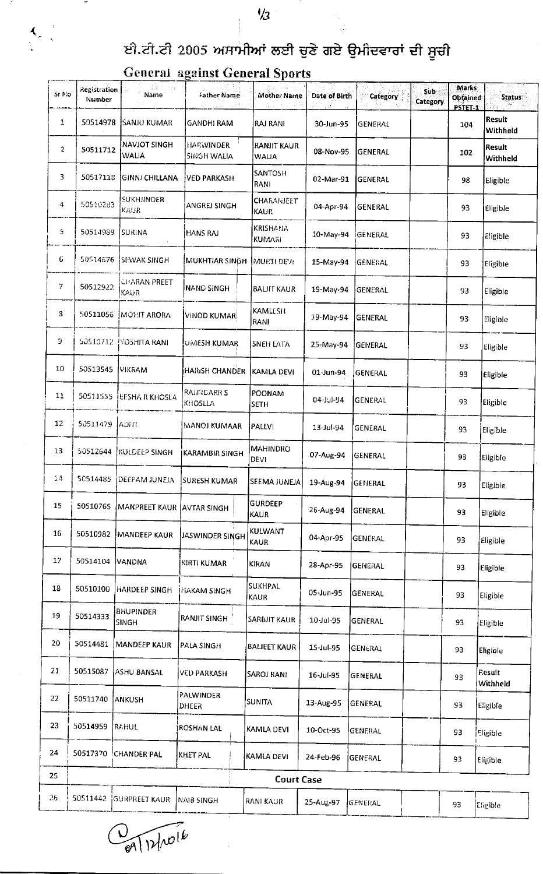$\frac{1}{2}$ 

## ਈ.ਟੀ.ਟੀ 2005 ਅਸਾਮੀਆਂ ਲਈ ਚੁਣੇ ਗਏ ਉਮੀਦਵਾਰਾਂ ਦੀ ਸੂਚੀ

| Sr No          | <b>Registration</b><br><b>Number</b> | Name<br>Participan                  | Geberar «gamst General Sports<br><b>Father Name</b> | <b>Mother Name</b>               | Date of Birth | Category       | Sub<br>Category | <b>Marks</b><br><b>Obtained</b> | <b>Status</b>      |
|----------------|--------------------------------------|-------------------------------------|-----------------------------------------------------|----------------------------------|---------------|----------------|-----------------|---------------------------------|--------------------|
| $\mathbf{1}$   | 59514978                             | <b>SANJU KUMAR</b>                  | <b>GANDHI RAM</b>                                   | <b>RAJ RANI</b>                  | 30-Jun-95     | <b>GENERAL</b> |                 | PSTET-1<br>104                  | Result<br>Withheld |
| $\overline{2}$ | 50511712                             | <b>NAVJOT SINGH</b><br><b>WALIA</b> | <b>HARWINDER</b><br><b>SINGH WALIA</b>              | <b>RANJIT KAUR</b><br>WALIA      | 08-Nov-95     | GENERAL        |                 | 102                             | Result<br>Withheld |
| 3              | 50517118                             | GINN: CHILLANA                      | <b>VED PARKASH</b>                                  | SANTOSH<br>RANI                  | 02-Mar-91     | <b>GENERAL</b> |                 | 98                              | Eligible           |
| 4              | 50510283                             | <b>SUKHJINDER</b><br>KAUR           | <b>ANGREJ SINGH</b>                                 | CHARANJELT<br><b>KAUR</b>        | 04-Apr-94     | GENERAL        |                 | 93                              | Eligible           |
| 5              | 50514989                             | SURINA                              | İHANS RAJ                                           | <b>KRISHANA</b><br><b>KUMARI</b> | 10-May-94     | iGENERAL       |                 | 93                              | Eligible           |
| 6              | 50514676                             | <b>ISEWAK SINGH</b>                 | MUKHTIAR SINGH MURTI DEYI                           |                                  | 15-May-94     | <b>GENERAL</b> |                 | 93                              | Eligible           |
| 7              | 50512922                             | <b>CHARAN PREET</b><br>KAUR         | <b>NAND SINGH</b>                                   | <b>BALIFT KAUR</b>               | 19-May-94     | GENERAL        |                 | 93                              | Eligible           |
| 3              |                                      | 50511056   MOHIT ARORA              | VINOD KUMAR                                         | <b>KAMLESH</b><br>RANI           | 19-May-94     | GENERAL        |                 | 93                              | Fligible           |
| Э              |                                      | 50510712 [YOSHITA RANI              | UMESH KUMAR                                         | SNEH LATA                        | 25-May-94     | GENERAL        |                 | 93                              | <b>Eligible</b>    |
| 10             | 50513545                             | <b>VIKRAM</b>                       | <b>HARISH CHANDER</b>                               | KAMLA DEVI                       | 01-Jun-94     | GENERAL        |                 | 93                              | Eligible           |
| 11             | 50511555                             | <b>EESHA R KHOSLA</b>               | <b>RAJINCARRS</b><br>KHOSLLA                        | POONAM<br><b>SETH</b>            | 04-Jul-94     | <b>GENERAL</b> |                 | 93                              | Eligible           |
| 12             | 50511479                             | $A$ DITI                            | MANOJ KUMAAR                                        | <b>PALLVI</b>                    | 13-Jul-94     | GENERAL        |                 | 93                              | Eligible           |
| 13             | 50512644                             | KULDEEP SINGH                       | <b>KARAMBIR SINGH</b>                               | MAHINDRO<br><b>DEVI</b>          | 07-Aug-94     | GENERAL        |                 | 93                              | Eligible           |
| $\hat{A}$      | 50514485                             | DEFPAM JUNEJA                       | SURESH KUMAR                                        | SEEMA JUNEJA                     | 19-Aug-94     | GENERAL        |                 | 93                              | Eligible           |
| 15             | 50510765                             | <b>MANPREET KAUR</b>                | <b>JAVTAR SINGH</b>                                 | GURDEEP<br><b>KAUR</b>           | 26-Aug-94     | GENERAL        |                 | 93                              | Eligible           |
| 16             | 50510982                             | MANDEEP KAUR                        | JASWINDER SINGH                                     | KULWANT<br>KAUR                  | 04-Apr-95     | <b>GENERAL</b> |                 | 93                              | Eligible           |
| 17             | 50514104                             | VANDNA                              | KIRTI KUMAR                                         | <b>KIRAN</b>                     | 28-Apr-95     | <b>GENERAL</b> |                 | 93                              | Eligible           |
| 18             | 50510100                             | HARDEEP SINGH                       | <b>HAKAM SINGH</b>                                  | SUKHPAL<br>KAUR                  | 05-Jun-95     | GENERAL        |                 | 93                              | Eligible           |
| 19             | 50514333                             | <b>BHUPINDER</b><br>SINGH           | <b>RANJIT SINGH</b>                                 | <b>SARBJIT KAUR</b>              | 10-Jul-95     | <b>GENERAL</b> |                 | 93                              | Eligible           |
| 20             | 50514481                             | <b>MANDEEP KAUR</b>                 | <b>PALA SINGH</b>                                   | <b>BALIEET KAUR</b>              | 15-Jul-95     | GENERAL        |                 | 93                              | Eligible           |
| 21             | 50515087                             | ASHU BANSAL                         | <b>VED PARKASH</b>                                  | SAROJ RANI                       | 16-Jul-95     | GENERAL        |                 | 93                              | Result<br>Withheld |
| 22             | 50511740                             | ANKUSH                              | PALWINDER<br>DHEER                                  | SUNITA                           | 13-Aug-95     | <b>GENERAL</b> |                 | 93                              | Eligible           |
| 23             | 50514959                             | RAHUL                               | <b>ROSHAN LAL</b>                                   | KAMLA DEVI                       | 10-Oct-95     | <b>GENERAL</b> |                 | 93                              | Eligible           |
| 24             |                                      | 50517370 CHANDER PAL                | <b>KHET PAL</b>                                     | KAMLA DEVI                       | 24-Feb-96     | GENERAL        |                 | 93                              | Eligible           |
| 25             |                                      |                                     |                                                     | <b>Court Case</b>                |               |                |                 |                                 |                    |
| 26             |                                      | 50511442 GURPREET KAUR              | NAIB SINGH                                          | RANI KAUR                        | 25-Aug-97     | GENERAL        |                 | 93                              | Eligible)          |

## **General against General Sports**

 $\mathbf{A}_{k+1}^{\mathbb{Z}_2}$ 

 $\frac{1}{69}$   $\sqrt{12/10^{16}}$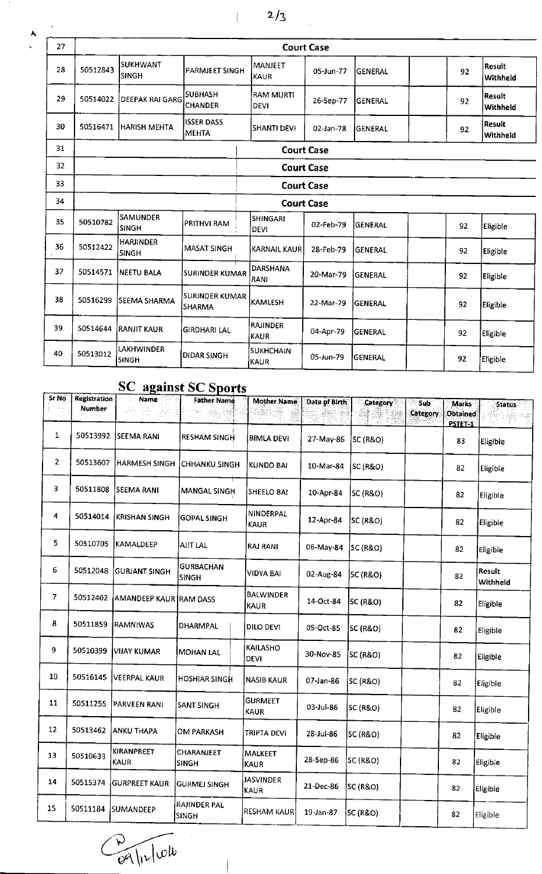$2/3$ 

Ť

| 27 | <b>Court Case</b> |                                 |                                   |                                 |           |                |    |                           |  |  |  |
|----|-------------------|---------------------------------|-----------------------------------|---------------------------------|-----------|----------------|----|---------------------------|--|--|--|
| 28 | 50512843          | <b>SUKHWANT</b><br><b>SINGH</b> | PARMJEET SINGH                    | <b>MANJEET</b><br>KAUR          | 05-Jun-77 | GENERAL        | 92 | <b>Result</b><br>Withheld |  |  |  |
| 29 | 50514022          | <b>DEEPAK RAI GARG</b>          | <b>SUBHASH</b><br><b>CHANDER</b>  | <b>RAM MURTI</b><br><b>DEVI</b> | 26-Sep-77 | <b>GENERAL</b> | 92 | Result<br>Withheld        |  |  |  |
| 30 | 50516471          | HARISH MEHTA                    | <b>ISSER DASS</b><br><b>MEHTA</b> | <b>SHANTI DEVI</b>              | 02-Jan-78 | <b>GENERAL</b> | 92 | Result<br>Withheld        |  |  |  |
| 31 | <b>Court Case</b> |                                 |                                   |                                 |           |                |    |                           |  |  |  |
| 32 | <b>Court Case</b> |                                 |                                   |                                 |           |                |    |                           |  |  |  |
| 33 | <b>Court Case</b> |                                 |                                   |                                 |           |                |    |                           |  |  |  |
| 34 | <b>Court Case</b> |                                 |                                   |                                 |           |                |    |                           |  |  |  |
| 35 | 50510782          | <b>SAMUNDER</b><br><b>SINGH</b> | PRITHVI RAM                       | <b>SHINGARI</b><br>DEVI         | 02-Feb-79 | <b>GENERAL</b> | 92 | Eligible                  |  |  |  |
| 36 | 50512422          | <b>HARJINDER</b><br>SINGH       | <b>MASAT SINGH</b>                | <b>KARNAIL KAUR</b>             | 28-Feb-79 | <b>GENERAL</b> | 92 | Eligible                  |  |  |  |
| 37 | 50514571          | <b>NEETU BALA</b>               | <b>SURINDER KUMAR</b>             | <b>DARSHANA</b><br>RANI         | 20-Mar-79 | <b>GENERAL</b> | 92 | Eligible                  |  |  |  |
| 38 | 50516299          | SEEMA SHARMA                    | SURINDER KUMAR<br><b>SHARMA</b>   | KAMLESH                         | 22-Mar-79 | <b>GENERAL</b> | 92 | Eligible                  |  |  |  |
| 39 | 50514644          | <b>RANJIT KAUR</b>              | GIRDHARI LAL                      | <b>RAJINDER</b><br><b>KAUR</b>  | 04-Apr-79 | <b>GENERAL</b> | 92 | Eligible                  |  |  |  |
| 40 | 50513012          | LAKHWINDER<br><b>SINGH</b>      | <b>DIDAR SINGH</b>                | <b>SUKHCHAIN</b><br>KAUR        | 05-Jun-79 | lgeneral       | 92 | <b>Eligible</b>           |  |  |  |

## **SC** against SC Sports

| Sr No          | <b>Registration</b> | <b>Name</b>               | www.oo.oporta<br><b>Father Name</b> | <b>Mother Name</b>              | Date of Birth |                     |                        |                                     |                           |
|----------------|---------------------|---------------------------|-------------------------------------|---------------------------------|---------------|---------------------|------------------------|-------------------------------------|---------------------------|
|                | Number              |                           |                                     |                                 |               | <b>Category</b>     | <b>Sub</b><br>Category | <b>Marks</b><br>Obtained<br>PSTET-1 | <b>Status</b>             |
| $\mathbf{1}$   |                     | 50513992 SEEMA RANI       | <b>RESHAM SINGH</b>                 | <b>BIMLA DEVI</b>               | 27-May-86     | SC (R&O)            |                        | 83                                  | Eligible                  |
| $\overline{2}$ | 50513607            | HARMESH SINGH             | <b>CHHANKU SINGH</b>                | KUNDO BAI                       | 10-Mar-84     | SC (R&O)            |                        | 82                                  | Eligible                  |
| 3              | 50511808            | <b>SEEMA RANI</b>         | <b>MANGAL SINGH</b>                 | SHEELO BAI                      | 10-Apr-84     | SC (R&O)            |                        | 82                                  | Eligible                  |
| 4              | 50514014            | <b>KRISHAN SINGH</b>      | <b>GOPAL SINGH</b>                  | NINDERPAL<br><b>KAUR</b>        | 12-Apr-84     | SC (R&O)            |                        | 82                                  | Eligible                  |
| 5              | 50510705            | <b>KAMALDEEP</b>          | <b>AJIT LAL</b>                     | <b>RAJ RANI</b>                 | 06-May-84     | SC (R&O)            |                        | 82                                  | Eligible                  |
| 6              | 50512048            | GURJANT SINGH             | <b>GURBACHAN</b><br><b>SINGH</b>    | <b>VIDYA BAI</b>                | 02-Aug-84     | SC (R&O)            |                        | 82                                  | <b>Result</b><br>Withheld |
| 7              | 50512402            | AMANDEEP KAUR RAM DASS    |                                     | <b>BALWINDER</b><br><b>KAUR</b> | 14-Oct-84     | SC (R&O)            |                        | 82                                  | Eligible                  |
| 8              | 50511859            | RAMNIWAS                  | DHARMPAL                            | DILO DEVI                       | 05-Oct-85     | <b>SC (R&amp;O)</b> |                        | 82                                  | Eligible                  |
| 9              | 50510399            | <b>VIJAY KUMAR</b>        | <b>MOHAN LAL</b>                    | KAILASHO<br><b>DEVI</b>         | 30-Nov-85     | <b>SC (R&amp;O)</b> |                        | 82                                  | Eligible                  |
| 10             | 50516145            | <b>VEERPAL KAUR</b>       | <b>HOSHIAR SINGH</b>                | <b>NASIB KAUR</b>               | 07-Jan-86     | <b>SC (R&amp;O)</b> |                        | 82                                  | Eligible                  |
| 11             | 50511255            | PARVEEN RANI              | SANT SINGH                          | <b>GURMEET</b><br><b>KAUR</b>   | 03-Jul-86     | <b>SC (R&amp;O)</b> |                        | 82                                  | Eligible                  |
| 12             | 50513462            | <b>ANKU THAPA</b>         | OM PARKASH                          | TRIPTA DEVI                     | 28-Jul-86     | <b>SC (R&amp;O)</b> |                        | 82                                  | Eligible                  |
| 13             | 50510633            | KIRANPREET<br><b>KAUR</b> | CHARANJEET<br><b>SINGH</b>          | MALKEET<br><b>KAUR</b>          | 28-Sep-86     | SC (R&O)            |                        | 82                                  | Eligible                  |
| 14             | 50515374            | <b>GURPREET KAUR</b>      | <b>GURMEJ SINGH</b>                 | <b>JASVINDER</b><br><b>KAUR</b> | 21-Dec-86     | SC (R&O)            |                        | 82                                  | Eligible                  |
| 15             | 50511184            | SUMANDEEP                 | RAJINDER PAL<br><b>SINGH</b>        | <b>RESHAM KAUR</b>              | 19-Jan-87     | SC(RRO)             |                        | 82                                  | Eligible                  |

 $\frac{1}{2}$ 

 $\overline{\phantom{a}}$